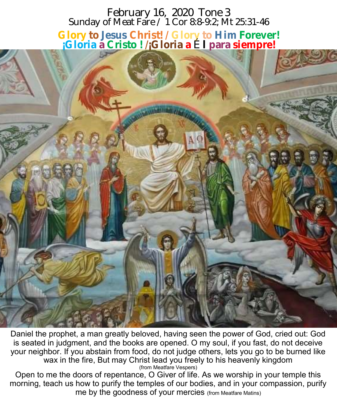# February 16, 2020 Tone 3 Sunday of Meat Fare / 1 Cor 8:8-9:2; Mt 25:31-46 **Glory to Jesus Christ! / Glory to Him Forever! ¡Gloria a Cristo ! /¡Gloria a** É **l para siempre!**



Daniel the prophet, a man greatly beloved, having seen the power of God, cried out: God is seated in judgment, and the books are opened. O my soul, if you fast, do not deceive your neighbor. If you abstain from food, do not judge others, lets you go to be burned like wax in the fire, But may Christ lead you freely to his heavenly kingdom (from Meatfare Vespers)

Open to me the doors of repentance, O Giver of life. As we worship in your temple this morning, teach us how to purify the temples of our bodies, and in your compassion, purify me by the goodness of your mercies (from Meatfare Matins)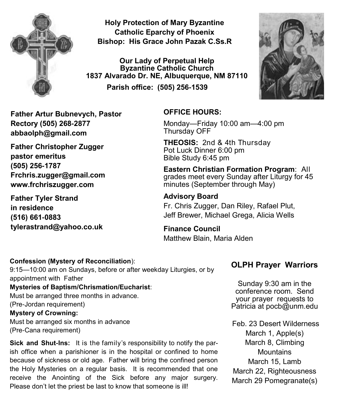

**Holy Protection of Mary Byzantine Catholic Eparchy of Phoenix Bishop: His Grace John Pazak C.Ss.R**

**Our Lady of Perpetual Help Byzantine Catholic Church 1837 Alvarado Dr. NE, Albuquerque, NM 87110 Parish office: (505) 256-1539**



**Father Artur Bubnevych, Pastor Rectory (505) 268-2877 abbaolph@gmail.com** 

**Father Christopher Zugger pastor emeritus (505) 256-1787 Frchris.zugger@gmail.com www.frchriszugger.com** 

**Father Tyler Strand in residence (516) 661-0883 tylerastrand@yahoo.co.uk**

## **OFFICE HOURS:**

Monday—Friday 10:00 am—4:00 pm Thursday OFF

**THEOSIS:** 2nd & 4th Thursday Pot Luck Dinner 6:00 pm Bible Study 6:45 pm

**Eastern Christian Formation Program**: All grades meet every Sunday after Liturgy for 45 minutes (September through May)

#### **Advisory Board**

Fr. Chris Zugger, Dan Riley, Rafael Plut, Jeff Brewer, Michael Grega, Alicia Wells

**Finance Council**  Matthew Blain, Maria Alden

#### **Confession (Mystery of Reconciliation**):

9:15—10:00 am on Sundays, before or after weekday Liturgies, or by appointment with Father

**Mysteries of Baptism/Chrismation/Eucharist**:

Must be arranged three months in advance. (Pre-Jordan requirement) **Mystery of Crowning:** 

Must be arranged six months in advance (Pre-Cana requirement)

**Sick and Shut-Ins:** It is the family's responsibility to notify the parish office when a parishioner is in the hospital or confined to home because of sickness or old age. Father will bring the confined person the Holy Mysteries on a regular basis. It is recommended that one receive the Anointing of the Sick before any major surgery. Please don't let the priest be last to know that someone is ill!

# **OLPH Prayer Warriors**

Sunday 9:30 am in the conference room. Send your prayer requests to Patricia at pocb@unm.edu

Feb. 23 Desert Wilderness March 1, Apple(s) March 8, Climbing **Mountains** March 15, Lamb March 22, Righteousness March 29 Pomegranate(s)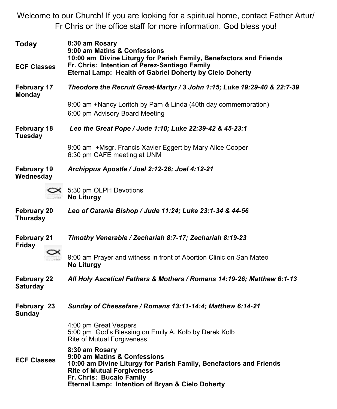Welcome to our Church! If you are looking for a spiritual home, contact Father Artur/ Fr Chris or the office staff for more information. God bless you!

| Today                                 | 8:30 am Rosary<br>9:00 am Matins & Confessions<br>10:00 am Divine Liturgy for Parish Family, Benefactors and Friends                                                                                                                      |  |
|---------------------------------------|-------------------------------------------------------------------------------------------------------------------------------------------------------------------------------------------------------------------------------------------|--|
| <b>ECF Classes</b>                    | Fr. Chris: Intention of Perez-Santiago Family<br>Eternal Lamp: Health of Gabriel Doherty by Cielo Doherty                                                                                                                                 |  |
| February 17<br><b>Monday</b>          | Theodore the Recruit Great-Martyr / 3 John 1:15; Luke 19:29-40 & 22:7-39                                                                                                                                                                  |  |
|                                       | 9:00 am +Nancy Loritch by Pam & Linda (40th day commemoration)<br>6:00 pm Advisory Board Meeting                                                                                                                                          |  |
| February 18<br>Tuesday                | Leo the Great Pope / Jude 1:10; Luke 22:39-42 & 45-23:1                                                                                                                                                                                   |  |
|                                       | 9:00 am +Msgr. Francis Xavier Eggert by Mary Alice Cooper<br>6:30 pm CAFE meeting at UNM                                                                                                                                                  |  |
| February 19<br>Wednesday              | Archippus Apostle / Joel 2:12-26; Joel 4:12-21                                                                                                                                                                                            |  |
|                                       | $\leq 5:30$ pm OLPH Devotions<br><b>No Liturgy</b>                                                                                                                                                                                        |  |
| February 20<br>Thursday               | Leo of Catania Bishop / Jude 11:24; Luke 23:1-34 & 44-56                                                                                                                                                                                  |  |
| <b>February 21</b><br><b>Friday</b>   | Timothy Venerable / Zechariah 8:7-17; Zechariah 8:19-23                                                                                                                                                                                   |  |
|                                       | 9:00 am Prayer and witness in front of Abortion Clinic on San Mateo<br><b>No Liturgy</b>                                                                                                                                                  |  |
| <b>February 22</b><br><b>Saturday</b> | All Holy Ascetical Fathers & Mothers / Romans 14:19-26; Matthew 6:1-13                                                                                                                                                                    |  |
| February 23<br>Sunday                 | Sunday of Cheesefare / Romans 13:11-14:4; Matthew 6:14-21                                                                                                                                                                                 |  |
|                                       | 4:00 pm Great Vespers<br>5:00 pm God's Blessing on Emily A. Kolb by Derek Kolb<br>Rite of Mutual Forgiveness                                                                                                                              |  |
| <b>ECF Classes</b>                    | 8:30 am Rosary<br>9:00 am Matins & Confessions<br>10:00 am Divine Liturgy for Parish Family, Benefactors and Friends<br><b>Rite of Mutual Forgiveness</b><br>Fr. Chris: Bucalo Family<br>Eternal Lamp: Intention of Bryan & Cielo Doherty |  |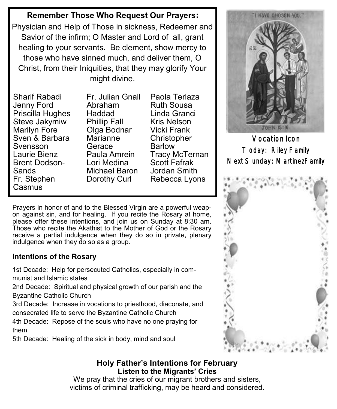# **Remember Those Who Request Our Prayers:**

Physician and Help of Those in sickness, Redeemer and Savior of the infirm; O Master and Lord of all, grant healing to your servants. Be clement, show mercy to those who have sinned much, and deliver them, O Christ, from their Iniquities, that they may glorify Your might divine.

Sharif Rabadi Jenny Ford Priscilla Hughes Steve Jakymiw Marilyn Fore Sven & Barbara Svensson Laurie Bienz Brent Dodson-Sands Fr. Stephen **Casmus** 

Fr. Julian Gnall Abraham Haddad Phillip Fall Olga Bodnar Marianne Gerace Paula Amrein Lori Medina Michael Baron Dorothy Curl

Paola Terlaza Ruth Sousa Linda Granci Kris Nelson Vicki Frank **Christopher** Barlow Tracy McTernan Scott Fafrak Jordan Smith Rebecca Lyons

Prayers in honor of and to the Blessed Virgin are a powerful weapon against sin, and for healing. If you recite the Rosary at home, please offer these intentions, and join us on Sunday at 8:30 am. Those who recite the Akathist to the Mother of God or the Rosary receive a partial indulgence when they do so in private, plenary indulgence when they do so as a group.

### **Intentions of the Rosary**

1st Decade: Help for persecuted Catholics, especially in communist and Islamic states

2nd Decade: Spiritual and physical growth of our parish and the Byzantine Catholic Church

3rd Decade: Increase in vocations to priesthood, diaconate, and consecrated life to serve the Byzantine Catholic Church

4th Decade: Repose of the souls who have no one praying for them

5th Decade: Healing of the sick in body, mind and soul



Vocation Icon Today: Riley Family Next Sunday: MartinezFamily



## **Holy Father's Intentions for February Listen to the Migrants' Cries**

We pray that the cries of our migrant brothers and sisters, victims of criminal trafficking, may be heard and considered.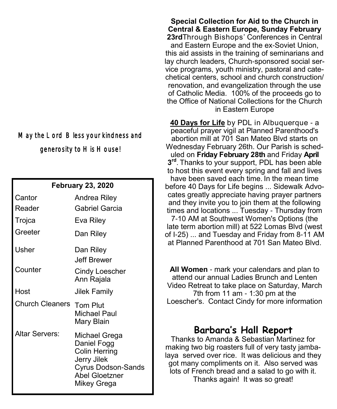# May the Lord Bless your kindness and generosity to His House!

#### **February 23, 2020**

| Cantor<br>Reader<br>Trojca | Andrea Riley<br>Gabriel Garcia<br>Eva Riley                                                                                              |
|----------------------------|------------------------------------------------------------------------------------------------------------------------------------------|
| Greeter                    | Dan Riley                                                                                                                                |
| Usher                      | Dan Riley<br>Jeff Brewer                                                                                                                 |
| Counter                    | Cindy Loescher<br>Ann Rajala                                                                                                             |
| Host                       | Jilek Family                                                                                                                             |
| Church Cleaners            | <b>Tom Plut</b><br>Michael Paul<br>Mary Blain                                                                                            |
| <b>Altar Servers:</b>      | Michael Grega<br>Daniel Fogg<br><b>Colin Herring</b><br>Jerry Jilek<br><b>Cyrus Dodson-Sands</b><br><b>Abel Gloetzner</b><br>Mikey Grega |

**Special Collection for Aid to the Church in Central & Eastern Europe, Sunday February 23rd**Through Bishops' Conferences in Central and Eastern Europe and the ex-Soviet Union, this aid assists in the training of seminarians and lay church leaders, Church-sponsored social service programs, youth ministry, pastoral and catechetical centers, school and church construction/ renovation, and evangelization through the use of Catholic Media. 100% of the proceeds go to the Office of National Collections for the Church in Eastern Europe

**[40 Days for Life](https://40daysforlife.com/)** by PDL in Albuquerque - a peaceful prayer vigil at Planned Parenthood's abortion mill at 701 San Mateo Blvd starts on Wednesday February 26th. Our Parish is scheduled on **Friday February 28th** and Friday **April 3 rd** . Thanks to your support, PDL has been able to host this event every spring and fall and lives have been saved each time. In the mean time before 40 Days for Life begins ... Sidewalk Advocates greatly appreciate having prayer partners and they invite you to join them at the following times and locations ... Tuesday - Thursday from 7-10 AM at Southwest Women's Options (the late term abortion mill) at 522 Lomas Blvd (west of I-25) ... and Tuesday and Friday from 8-11 AM at Planned Parenthood at 701 San Mateo Blvd.

**All Women** - mark your calendars and plan to attend our annual Ladies Brunch and Lenten Video Retreat to take place on Saturday, March 7th from 11 am - 1:30 pm at the Loescher's. Contact Cindy for more information

# **Barbara's Hall Report**

Thanks to Amanda & Sebastian Martinez for making two big roasters full of very tasty jambalaya served over rice. It was delicious and they got many compliments on it. Also served was lots of French bread and a salad to go with it. Thanks again! It was so great!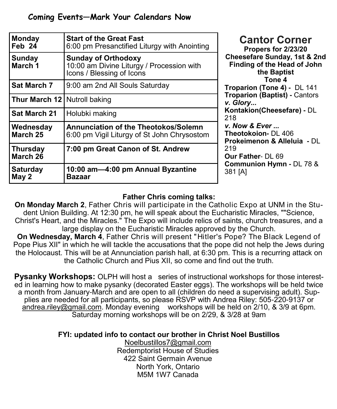| <b>Monday</b><br>Feb 24               | <b>Start of the Great Fast</b><br>6:00 pm Presanctified Liturgy with Anointing                       |                     |
|---------------------------------------|------------------------------------------------------------------------------------------------------|---------------------|
| <b>Sunday</b><br>March <sub>1</sub>   | <b>Sunday of Orthodoxy</b><br>10:00 am Divine Liturgy / Procession with<br>Icons / Blessing of Icons | C                   |
| <b>Sat March 7</b>                    | 9:00 am 2nd All Souls Saturday                                                                       | I                   |
| <b>Thur March 12   Nutroll baking</b> |                                                                                                      | ν                   |
| <b>Sat March 21</b>                   | Holubki making                                                                                       | K<br>$\overline{2}$ |
| Wednesday<br>March 25                 | <b>Annunciation of the Theotokos/Solemn</b><br>6:00 pm Vigil Liturgy of St John Chrysostom           | V<br>T<br>F         |
| <b>Thursday</b><br>March 26           | 7:00 pm Great Canon of St. Andrew                                                                    | $\tilde{z}$<br>C    |
| <b>Saturday</b><br>May 2              | 10:00 am-4:00 pm Annual Byzantine<br>Bazaar                                                          | <u>င္</u>           |

**Cantor Corner Propers for 2/23/20 Cheesefare Sunday, 1st & 2nd Finding of the Head of John the Baptist Tone 4 Troparion (Tone 4) -** DL 141 **Troparion (Baptist) -** Cantors *v. Glory...*  **Kontakion(Cheesefare) -** DL 218 *v. Now & Ever ...* **Theotokoion-** DL 406 **Prokeimenon & Alleluia -** DL  $19$ **Our Father**- DL 69 **Communion Hymn -** DL 78 & 381 [A]

### **Father Chris coming talks:**

**On Monday March 2**, Father Chris will participate in the Catholic Expo at UNM in the Student Union Building. At 12:30 pm, he will speak about the Eucharistic Miracles, ""Science, Christ's Heart, and the Miracles." The Expo will include relics of saints, church treasures, and a large display on the Eucharistic Miracles approved by the Church.

**On Wednesday, March 4**, Father Chris will present "Hitler's Pope? The Black Legend of Pope Pius XII" in which he will tackle the accusations that the pope did not help the Jews during the Holocaust. This will be at Annunciation parish hall, at 6:30 pm. This is a recurring attack on the Catholic Church and Pius XII, so come and find out the truth.

**Pysanky Workshops:** OLPH will host a series of instructional workshops for those interested in learning how to make pysanky (decorated Easter eggs). The workshops will be held twice a month from January-March and are open to all (children do need a supervising adult). Supplies are needed for all participants, so please RSVP with Andrea Riley: 505-220-9137 or [andrea.riley@gmail.com.](mailto:andrea.riley@gmail.com) Monday evening workshops will be held on 2/10, & 3/9 at 6pm. Saturday morning workshops will be on 2/29, & 3/28 at 9am

**FYI: updated info to contact our brother in Christ Noel Bustillos**

[Noelbustillos7@gmail.com](mailto:Noelbustillos7@gmail.com) Redemptorist House of Studies 422 Saint Germain Avenue North York, Ontario M5M 1W7 Canada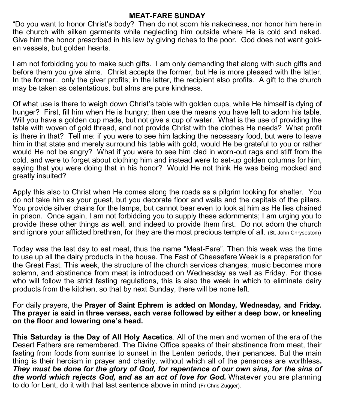#### **MEAT-FARE SUNDAY**

"Do you want to honor Christ's body? Then do not scorn his nakedness, nor honor him here in the church with silken garments while neglecting him outside where He is cold and naked. Give him the honor prescribed in his law by giving riches to the poor. God does not want golden vessels, but golden hearts.

I am not forbidding you to make such gifts. I am only demanding that along with such gifts and before them you give alms. Christ accepts the former, but He is more pleased with the latter. In the former., only the giver profits; in the latter, the recipient also profits. A gift to the church may be taken as ostentatious, but alms are pure kindness.

Of what use is there to weigh down Christ's table with golden cups, while He himself is dying of hunger? First, fill him when He is hungry; then use the means you have left to adorn his table. Will you have a golden cup made, but not give a cup of water. What is the use of providing the table with woven of gold thread, and not provide Christ with the clothes He needs? What profit is there in that? Tell me: if you were to see him lacking the necessary food, but were to leave him in that state and merely surround his table with gold, would He be grateful to you or rather would He not be angry? What if you were to see him clad in worn-out rags and stiff from the cold, and were to forget about clothing him and instead were to set-up golden columns for him, saying that you were doing that in his honor? Would He not think He was being mocked and greatly insulted?

Apply this also to Christ when He comes along the roads as a pilgrim looking for shelter. You do not take him as your guest, but you decorate floor and walls and the capitals of the pillars. You provide silver chains for the lamps, but cannot bear even to look at him as He lies chained in prison. Once again, I am not forbidding you to supply these adornments; I am urging you to provide these other things as well, and indeed to provide them first. Do not adorn the church and ignore your afflicted brethren, for they are the most precious temple of all. (St. John Chrysostom)

Today was the last day to eat meat, thus the name "Meat-Fare". Then this week was the time to use up all the dairy products in the house. The Fast of Cheesefare Week is a preparation for the Great Fast. This week, the structure of the church services changes, music becomes more solemn, and abstinence from meat is introduced on Wednesday as well as Friday. For those who will follow the strict fasting regulations, this is also the week in which to eliminate dairy products from the kitchen, so that by next Sunday, there will be none left.

For daily prayers, the **Prayer of Saint Ephrem is added on Monday, Wednesday, and Friday. The prayer is said in three verses, each verse followed by either a deep bow, or kneeling on the floor and lowering one's head.**

**This Saturday is the Day of All Holy Ascetics**. All of the men and women of the era of the Desert Fathers are remembered. The Divine Office speaks of their abstinence from meat, their fasting from foods from sunrise to sunset in the Lenten periods, their penances. But the main thing is their heroism in prayer and charity, without which all of the penances are worthless**.**  *They must be done for the glory of God, for repentance of our own sins, for the sins of the world which rejects God, and as an act of love for God.* Whatever you are planning to do for Lent, do it with that last sentence above in mind (Fr Chris Zugger).